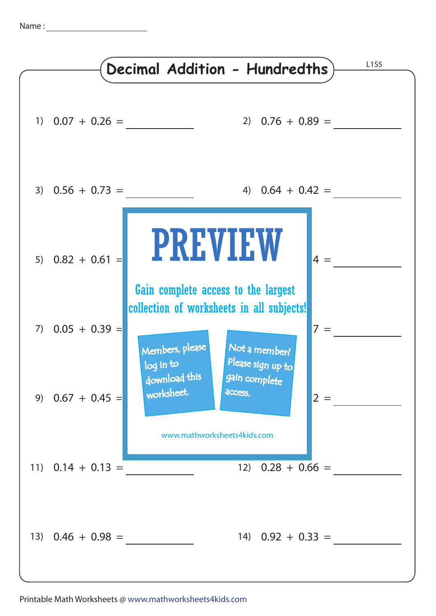